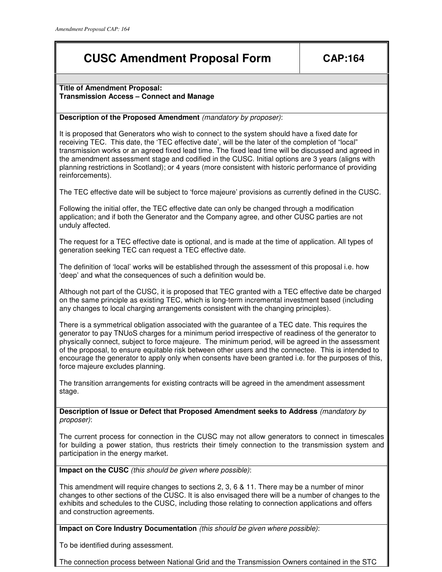# **CUSC Amendment Proposal Form CAP:164**

### **Title of Amendment Proposal: Transmission Access – Connect and Manage**

## **Description of the Proposed Amendment** (mandatory by proposer):

It is proposed that Generators who wish to connect to the system should have a fixed date for receiving TEC. This date, the 'TEC effective date', will be the later of the completion of "local" transmission works or an agreed fixed lead time. The fixed lead time will be discussed and agreed in the amendment assessment stage and codified in the CUSC. Initial options are 3 years (aligns with planning restrictions in Scotland); or 4 years (more consistent with historic performance of providing reinforcements).

The TEC effective date will be subject to 'force majeure' provisions as currently defined in the CUSC.

Following the initial offer, the TEC effective date can only be changed through a modification application; and if both the Generator and the Company agree, and other CUSC parties are not unduly affected.

The request for a TEC effective date is optional, and is made at the time of application. All types of generation seeking TEC can request a TEC effective date.

The definition of 'local' works will be established through the assessment of this proposal i.e. how 'deep' and what the consequences of such a definition would be.

Although not part of the CUSC, it is proposed that TEC granted with a TEC effective date be charged on the same principle as existing TEC, which is long-term incremental investment based (including any changes to local charging arrangements consistent with the changing principles).

There is a symmetrical obligation associated with the guarantee of a TEC date. This requires the generator to pay TNUoS charges for a minimum period irrespective of readiness of the generator to physically connect, subject to force majeure. The minimum period, will be agreed in the assessment of the proposal, to ensure equitable risk between other users and the connectee. This is intended to encourage the generator to apply only when consents have been granted i.e. for the purposes of this, force majeure excludes planning.

The transition arrangements for existing contracts will be agreed in the amendment assessment stage.

**Description of Issue or Defect that Proposed Amendment seeks to Address** (mandatory by proposer):

The current process for connection in the CUSC may not allow generators to connect in timescales for building a power station, thus restricts their timely connection to the transmission system and participation in the energy market.

**Impact on the CUSC** (this should be given where possible):

This amendment will require changes to sections 2, 3, 6 & 11. There may be a number of minor changes to other sections of the CUSC. It is also envisaged there will be a number of changes to the exhibits and schedules to the CUSC, including those relating to connection applications and offers and construction agreements.

**Impact on Core Industry Documentation** (this should be given where possible):

To be identified during assessment.

The connection process between National Grid and the Transmission Owners contained in the STC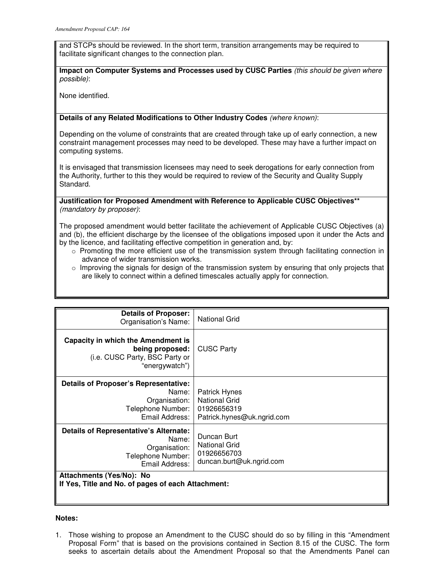and STCPs should be reviewed. In the short term, transition arrangements may be required to facilitate significant changes to the connection plan.

**Impact on Computer Systems and Processes used by CUSC Parties** (this should be given where possible):

None identified.

## **Details of any Related Modifications to Other Industry Codes** (where known):

Depending on the volume of constraints that are created through take up of early connection, a new constraint management processes may need to be developed. These may have a further impact on computing systems.

It is envisaged that transmission licensees may need to seek derogations for early connection from the Authority, further to this they would be required to review of the Security and Quality Supply Standard.

**Justification for Proposed Amendment with Reference to Applicable CUSC Objectives\*\***  (mandatory by proposer):

The proposed amendment would better facilitate the achievement of Applicable CUSC Objectives (a) and (b), the efficient discharge by the licensee of the obligations imposed upon it under the Acts and by the licence, and facilitating effective competition in generation and, by:

- $\circ$  Promoting the more efficient use of the transmission system through facilitating connection in advance of wider transmission works.
- $\circ$  Improving the signals for design of the transmission system by ensuring that only projects that are likely to connect within a defined timescales actually apply for connection.

| <b>Details of Proposer:</b><br>Organisation's Name:                                                            | <b>National Grid</b>                                                                      |
|----------------------------------------------------------------------------------------------------------------|-------------------------------------------------------------------------------------------|
| Capacity in which the Amendment is<br>being proposed:<br>(i.e. CUSC Party, BSC Party or<br>"energywatch")      | <b>CUSC Party</b>                                                                         |
| <b>Details of Proposer's Representative:</b><br>Name:<br>Organisation:<br>Telephone Number:<br>Email Address:  | <b>Patrick Hynes</b><br><b>National Grid</b><br>01926656319<br>Patrick.hynes@uk.ngrid.com |
| <b>Details of Representative's Alternate:</b><br>Name:<br>Organisation:<br>Telephone Number:<br>Email Address: | Duncan Burt<br><b>National Grid</b><br>01926656703<br>duncan.burt@uk.ngrid.com            |
| Attachments (Yes/No): No<br>If Yes, Title and No. of pages of each Attachment:                                 |                                                                                           |

### **Notes:**

1. Those wishing to propose an Amendment to the CUSC should do so by filling in this "Amendment Proposal Form" that is based on the provisions contained in Section 8.15 of the CUSC. The form seeks to ascertain details about the Amendment Proposal so that the Amendments Panel can